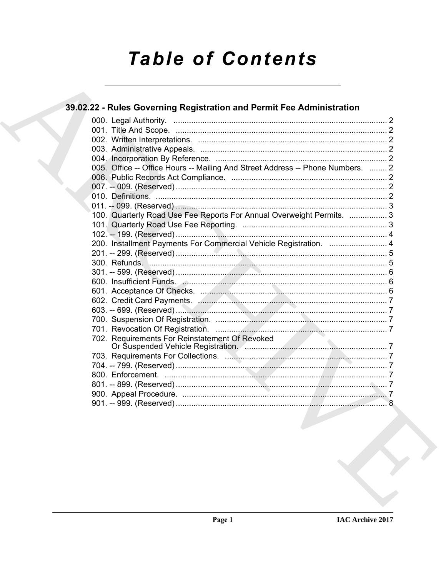# **Table of Contents**

## 39.02.22 - Rules Governing Registration and Permit Fee Administration 005. Office -- Office Hours -- Mailing And Street Address -- Phone Numbers. ........ 2 100. Quarterly Road Use Fee Reports For Annual Overweight Permits. ................. 3 702. Requirements For Reinstatement Of Revoked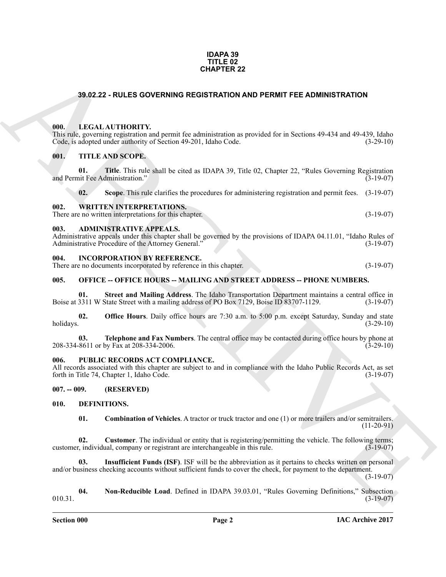#### **IDAPA 39 TITLE 02 CHAPTER 22**

#### <span id="page-1-0"></span>**39.02.22 - RULES GOVERNING REGISTRATION AND PERMIT FEE ADMINISTRATION**

#### <span id="page-1-1"></span>**000. LEGAL AUTHORITY.**

#### <span id="page-1-2"></span>**001. TITLE AND SCOPE.**

| <b>CHAPTER 22</b> |                  |                                                                                                                                                                                                                             |              |  |
|-------------------|------------------|-----------------------------------------------------------------------------------------------------------------------------------------------------------------------------------------------------------------------------|--------------|--|
|                   |                  | 39.02.22 - RULES GOVERNING REGISTRATION AND PERMIT FEE ADMINISTRATION                                                                                                                                                       |              |  |
|                   | 000.             | LEGAL AUTHORITY.<br>This rule, governing registration and permit fee administration as provided for in Sections 49-434 and 49-439, Idaho<br>Code, is adopted under authority of Section 49-201, Idaho Code.                 | $(3-29-10)$  |  |
|                   | 001.<br>01.      | TITLE AND SCOPE.<br>Title. This rule shall be cited as IDAPA 39, Title 02, Chapter 22, "Rules Governing Registration"<br>and Permit Fee Administration."                                                                    | $(3-19-07)$  |  |
|                   | 02.              | Scope. This rule clarifies the procedures for administering registration and permit fees.                                                                                                                                   | $(3-19-07)$  |  |
|                   | 002.             | <b>WRITTEN INTERPRETATIONS.</b><br>There are no written interpretations for this chapter.                                                                                                                                   | $(3-19-07)$  |  |
|                   | 003.             | <b>ADMINISTRATIVE APPEALS.</b><br>Administrative appeals under this chapter shall be governed by the provisions of IDAPA 04.11.01, "Idaho Rules of<br>Administrative Procedure of the Attorney General."                    | $(3-19-07)$  |  |
|                   | 004.             | <b>INCORPORATION BY REFERENCE.</b><br>There are no documents incorporated by reference in this chapter.                                                                                                                     | $(3-19-07)$  |  |
|                   | 005.             | <b>OFFICE -- OFFICE HOURS -- MAILING AND STREET ADDRESS -- PHONE NUMBERS.</b>                                                                                                                                               |              |  |
|                   | 01.              | Street and Mailing Address. The Idaho Transportation Department maintains a central office in<br>Boise at 3311 W State Street with a mailing address of PO Box 7129, Boise ID 83707-1129.                                   | $(3-19-07)$  |  |
|                   | 02.<br>holidays. | <b>Office Hours</b> . Daily office hours are 7:30 a.m. to 5:00 p.m. except Saturday, Sunday and state                                                                                                                       | $(3-29-10)$  |  |
|                   | 03.              | Telephone and Fax Numbers. The central office may be contacted during office hours by phone at<br>208-334-8611 or by Fax at 208-334-2006.                                                                                   | $(3-29-10)$  |  |
|                   | 006.             | PUBLIC RECORDS ACT COMPLIANCE.<br>All records associated with this chapter are subject to and in compliance with the Idaho Public Records Act, as set<br>forth in Title 74, Chapter 1, Idaho Code.                          | $(3-19-07)$  |  |
|                   | $007. - 009.$    | (RESERVED)                                                                                                                                                                                                                  |              |  |
|                   | 010.             | DEFINITIONS.                                                                                                                                                                                                                |              |  |
|                   | 01.              | <b>Combination of Vehicles.</b> A tractor or truck tractor and one (1) or more trailers and/or semitrailers.                                                                                                                | $(11-20-91)$ |  |
|                   | 02.              | <b>Customer</b> . The individual or entity that is registering/permitting the vehicle. The following terms;<br>customer, individual, company or registrant are interchangeable in this rule.                                | $(3-19-07)$  |  |
|                   | 03.              | <b>Insufficient Funds (ISF).</b> ISF will be the abbreviation as it pertains to checks written on personal<br>and/or business checking accounts without sufficient funds to cover the check, for payment to the department. | $(3-19-07)$  |  |
|                   | 04.<br>010.31.   | Non-Reducible Load. Defined in IDAPA 39.03.01, "Rules Governing Definitions," Subsection                                                                                                                                    | $(3-19-07)$  |  |
|                   |                  |                                                                                                                                                                                                                             |              |  |

#### <span id="page-1-4"></span><span id="page-1-3"></span>**003. ADMINISTRATIVE APPEALS.**

#### <span id="page-1-5"></span>**004. INCORPORATION BY REFERENCE.**

#### <span id="page-1-6"></span>**005. OFFICE -- OFFICE HOURS -- MAILING AND STREET ADDRESS -- PHONE NUMBERS.**

#### <span id="page-1-7"></span>**006. PUBLIC RECORDS ACT COMPLIANCE.**

#### <span id="page-1-14"></span><span id="page-1-13"></span><span id="page-1-12"></span><span id="page-1-11"></span><span id="page-1-10"></span><span id="page-1-9"></span><span id="page-1-8"></span>**010. DEFINITIONS.**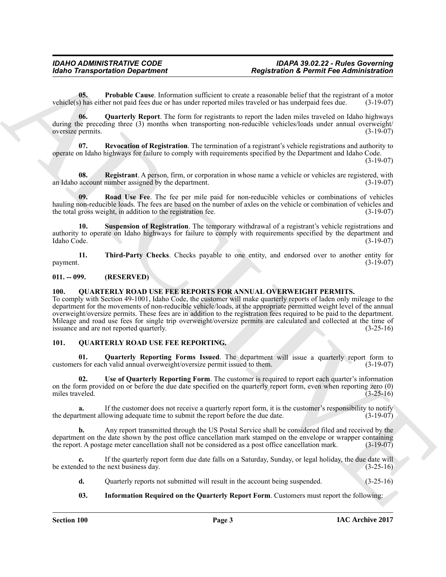<span id="page-2-3"></span>**05. Probable Cause**. Information sufficient to create a reasonable belief that the registrant of a motor vehicle(s) has either not paid fees due or has under reported miles traveled or has underpaid fees due. (3-19-07)

<span id="page-2-4"></span>**06. Quarterly Report**. The form for registrants to report the laden miles traveled on Idaho highways during the preceding three (3) months when transporting non-reducible vehicles/loads under annual overweight/<br>oversize permits. (3-19-07) oversize permits.

<span id="page-2-6"></span>**07. Revocation of Registration**. The termination of a registrant's vehicle registrations and authority to operate on Idaho highways for failure to comply with requirements specified by the Department and Idaho Code.

(3-19-07)

<span id="page-2-5"></span>**08.** Registrant. A person, firm, or corporation in whose name a vehicle or vehicles are registered, with account number assigned by the department. an Idaho account number assigned by the department.

<span id="page-2-7"></span>**09. Road Use Fee**. The fee per mile paid for non-reducible vehicles or combinations of vehicles hauling non-reducible loads. The fees are based on the number of axles on the vehicle or combination of vehicles and<br>the total gross weight, in addition to the registration fee. (3-19-07) the total gross weight, in addition to the registration fee.

<span id="page-2-8"></span>**10. Suspension of Registration**. The temporary withdrawal of a registrant's vehicle registrations and authority to operate on Idaho highways for failure to comply with requirements specified by the department and Idaho Code. (3-19-07) Idaho Code. (3-19-07)

<span id="page-2-9"></span>**11. Third-Party Checks**. Checks payable to one entity, and endorsed over to another entity for  $p$ ayment.  $(3-19-07)$ 

### <span id="page-2-0"></span>**011. -- 099. (RESERVED)**

### <span id="page-2-14"></span><span id="page-2-1"></span>**100. QUARTERLY ROAD USE FEE REPORTS FOR ANNUAL OVERWEIGHT PERMITS.**

**Example Transportation Department<br>
16.** Provide Count of the internation validient to transfer depend to the international control to the international control to the international control to the international control t To comply with Section 49-1001, Idaho Code, the customer will make quarterly reports of laden only mileage to the department for the movements of non-reducible vehicle/loads, at the appropriate permitted weight level of the annual overweight/oversize permits. These fees are in addition to the registration fees required to be paid to the department. Mileage and road use fees for single trip overweight/oversize permits are calculated and collected at the time of issuance and are not reported quarterly. (3-25-16)

#### <span id="page-2-10"></span><span id="page-2-2"></span>**101. QUARTERLY ROAD USE FEE REPORTING.**

<span id="page-2-12"></span>**01. Quarterly Reporting Forms Issued**. The department will issue a quarterly report form to s for each valid annual overweight/oversize permit issued to them. (3-19-07) customers for each valid annual overweight/oversize permit issued to them.

<span id="page-2-13"></span>**02. Use of Quarterly Reporting Form**. The customer is required to report each quarter's information on the form provided on or before the due date specified on the quarterly report form, even when reporting zero (0) miles traveled. (3-25-16)

**a.** If the customer does not receive a quarterly report form, it is the customer's responsibility to notify report to submit the report before the due date.  $(3-19-07)$ the department allowing adequate time to submit the report before the due date.

**b.** Any report transmitted through the US Postal Service shall be considered filed and received by the department on the date shown by the post office cancellation mark stamped on the envelope or wrapper containing<br>the report. A postage meter cancellation shall not be considered as a post office cancellation mark. (3-19-07) the report. A postage meter cancellation shall not be considered as a post office cancellation mark.

**c.** If the quarterly report form due date falls on a Saturday, Sunday, or legal holiday, the due date will ded to the next business day. (3-25-16) be extended to the next business day.

**d.** Quarterly reports not submitted will result in the account being suspended. (3-25-16)

#### <span id="page-2-11"></span>**03. Information Required on the Quarterly Report Form**. Customers must report the following: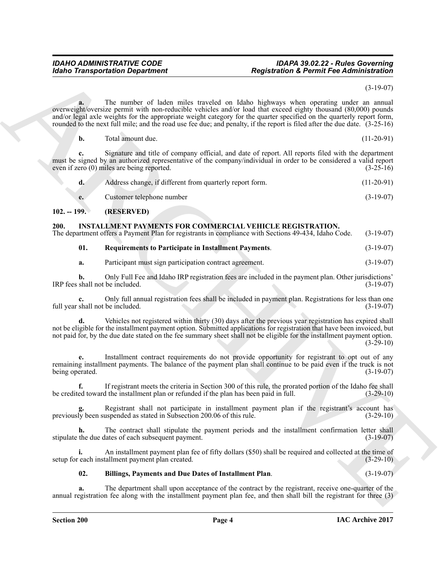#### *IDAHO ADMINISTRATIVE CODE IDAPA 39.02.22 - Rules Governing Idaho Transportation Department Registration & Permit Fee Administration*

(3-19-07)

**Example Transportation Department <br>
The number of their continent results are continent the properties of the number of the number of the number of the number of the number of the number of the number of the number of t a.** The number of laden miles traveled on Idaho highways when operating under an annual overweight/oversize permit with non-reducible vehicles and/or load that exceed eighty thousand (80,000) pounds and/or legal axle weights for the appropriate weight category for the quarter specified on the quarterly report form, rounded to the next full mile; and the road use fee due; and penalty, if the report is filed after the due date. (3-25-16)

| Total amount due. | $(11-20-91)$ |
|-------------------|--------------|
|                   |              |

**c.** Signature and title of company official, and date of report. All reports filed with the department must be signed by an authorized representative of the company/individual in order to be considered a valid report even if zero (0) miles are being reported. (3-25-16) even if zero  $(0)$  miles are being reported.

| Address change, if different from quarterly report form. | $(11-20-91)$ |
|----------------------------------------------------------|--------------|
| Customer telephone number                                | $(3-19-07)$  |

#### <span id="page-3-0"></span>**102. -- 199. (RESERVED)**

### <span id="page-3-2"></span><span id="page-3-1"></span>**200. INSTALLMENT PAYMENTS FOR COMMERCIAL VEHICLE REGISTRATION.**

The department offers a Payment Plan for registrants in compliance with Sections 49-434, Idaho Code. (3-19-07)

<span id="page-3-4"></span>

| 01.<br><b>Requirements to Participate in Installment Payments.</b> |  | $(3-19-07)$ |
|--------------------------------------------------------------------|--|-------------|
|--------------------------------------------------------------------|--|-------------|

**a.** Participant must sign participation contract agreement. (3-19-07)

**b.** Only Full Fee and Idaho IRP registration fees are included in the payment plan. Other jurisdictions' shall not be included. (3-19-07) IRP fees shall not be included.

**c.** Only full annual registration fees shall be included in payment plan. Registrations for less than one full year shall not be included.

**d.** Vehicles not registered within thirty (30) days after the previous year registration has expired shall not be eligible for the installment payment option. Submitted applications for registration that have been invoiced, but not paid for, by the due date stated on the fee summary sheet shall not be eligible for the installment payment option. (3-29-10)

**e.** Installment contract requirements do not provide opportunity for registrant to opt out of any remaining installment payments. The balance of the payment plan shall continue to be paid even if the truck is not being operated. (3-19-07) being operated.

**f.** If registrant meets the criteria in Section 300 of this rule, the prorated portion of the Idaho fee shall be credited toward the installment plan or refunded if the plan has been paid in full. (3-29-10)

Registrant shall not participate in installment payment plan if the registrant's account has uspended as stated in Subsection 200.06 of this rule. (3-29-10) previously been suspended as stated in Subsection 200.06 of this rule.

The contract shall stipulate the payment periods and the installment confirmation letter shall<br>lates of each subsequent payment. (3-19-07) stipulate the due dates of each subsequent payment.

**i.** An installment payment plan fee of fifty dollars (\$50) shall be required and collected at the time of setup for each installment payment plan created. (3-29-10)

## <span id="page-3-3"></span>**02. Billings, Payments and Due Dates of Installment Plan**. (3-19-07)

**a.** The department shall upon acceptance of the contract by the registrant, receive one-quarter of the annual registration fee along with the installment payment plan fee, and then shall bill the registrant for three (3)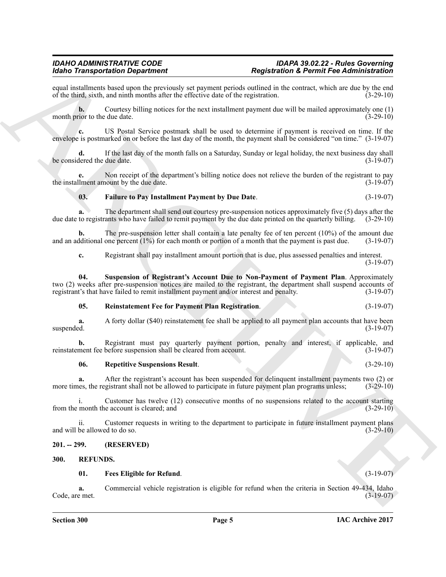equal installments based upon the previously set payment periods outlined in the contract, which are due by the end<br>of the third, sixth, and ninth months after the effective date of the registration. (3-29-10) of the third, sixth, and ninth months after the effective date of the registration.

**b.** Courtesy billing notices for the next installment payment due will be mailed approximately one (1) cior to the due date.  $(3-29-10)$ month prior to the due date.

**c.** US Postal Service postmark shall be used to determine if payment is received on time. If the envelope is postmarked on or before the last day of the month, the payment shall be considered "on time." (3-19-07)

**d.** If the last day of the month falls on a Saturday, Sunday or legal holiday, the next business day shall level date. (3-19-07) be considered the due date.

**e.** Non receipt of the department's billing notice does not relieve the burden of the registrant to pay liment amount by the due date.  $(3-19-07)$ the installment amount by the due date.

#### <span id="page-4-2"></span>**03. Failure to Pay Installment Payment by Due Date**. (3-19-07)

**a.** The department shall send out courtesy pre-suspension notices approximately five (5) days after the due date to registrants who have failed to remit payment by the due date printed on the quarterly billing. (3-29-10)

**b.** The pre-suspension letter shall contain a late penalty fee of ten percent (10%) of the amount due diditional one percent (1%) for each month or portion of a month that the payment is past due. (3-19-07) and an additional one percent  $(1%)$  for each month or portion of a month that the payment is past due.

<span id="page-4-5"></span>**c.** Registrant shall pay installment amount portion that is due, plus assessed penalties and interest. (3-19-07)

Moto Totaspondato Department<br>
2. The state of the state of the state of the state of the state of the state of the state of the state of the state of the state of the state of the state of the state of the state of the s **04. Suspension of Registrant's Account Due to Non-Payment of Payment Plan**. Approximately two (2) weeks after pre-suspension notices are mailed to the registrant, the department shall suspend accounts of registrant's that have failed to remit installment payment and/or interest and penalty. (3-19-07) registrant's that have failed to remit installment payment and/or interest and penalty.

#### <span id="page-4-3"></span>**05. Reinstatement Fee for Payment Plan Registration**. (3-19-07)

**a.** A forty dollar (\$40) reinstatement fee shall be applied to all payment plan accounts that have been suspended.  $(3-19-07)$  $s$ uspended.  $(3-19-07)$ 

**b.** Registrant must pay quarterly payment portion, penalty and interest, if applicable, and ment fee before suspension shall be cleared from account. (3-19-07) reinstatement fee before suspension shall be cleared from account.

#### <span id="page-4-4"></span>**06. Repetitive Suspensions Result**. (3-29-10)

**a.** After the registrant's account has been suspended for delinquent installment payments two (2) or less, the registrant shall not be allowed to participate in future payment plan programs unless; (3-29-10) more times, the registrant shall not be allowed to participate in future payment plan programs unless;

i. Customer has twelve (12) consecutive months of no suspensions related to the account starting month the account is cleared; and (3-29-10) from the month the account is cleared; and

ii. Customer requests in writing to the department to participate in future installment payment plans and will be allowed to do so. (3-29-10)

#### <span id="page-4-0"></span>**201. -- 299. (RESERVED)**

#### <span id="page-4-1"></span>**300. REFUNDS.**

#### <span id="page-4-7"></span><span id="page-4-6"></span>**01. Fees Eligible for Refund**. (3-19-07)

**a.** Commercial vehicle registration is eligible for refund when the criteria in Section 49-434, Idaho e met.  $(3-19-07)$ Code, are met.

#### **IAC Archive 2017**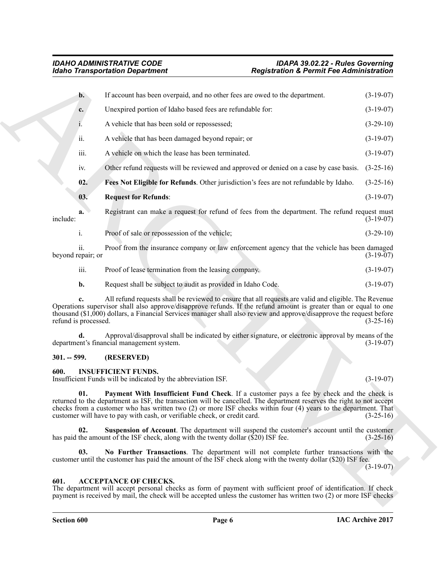<span id="page-5-9"></span><span id="page-5-8"></span>

|                                        | <b>Idaho Transportation Department</b>                                                                                                                                                                                                                                                                                                                                                                            | <b>Registration &amp; Permit Fee Administration</b> |                                                                                                                 |
|----------------------------------------|-------------------------------------------------------------------------------------------------------------------------------------------------------------------------------------------------------------------------------------------------------------------------------------------------------------------------------------------------------------------------------------------------------------------|-----------------------------------------------------|-----------------------------------------------------------------------------------------------------------------|
| b.                                     | If account has been overpaid, and no other fees are owed to the department.                                                                                                                                                                                                                                                                                                                                       |                                                     | $(3-19-07)$                                                                                                     |
| c.                                     | Unexpired portion of Idaho based fees are refundable for:                                                                                                                                                                                                                                                                                                                                                         |                                                     | $(3-19-07)$                                                                                                     |
| 1.                                     | A vehicle that has been sold or repossessed;                                                                                                                                                                                                                                                                                                                                                                      |                                                     | $(3-29-10)$                                                                                                     |
| ii.                                    | A vehicle that has been damaged beyond repair; or                                                                                                                                                                                                                                                                                                                                                                 |                                                     | $(3-19-07)$                                                                                                     |
| iii.                                   | A vehicle on which the lease has been terminated.                                                                                                                                                                                                                                                                                                                                                                 |                                                     | $(3-19-07)$                                                                                                     |
| 1V.                                    | Other refund requests will be reviewed and approved or denied on a case by case basis.                                                                                                                                                                                                                                                                                                                            |                                                     | $(3-25-16)$                                                                                                     |
| 02.                                    | Fees Not Eligible for Refunds. Other jurisdiction's fees are not refundable by Idaho.                                                                                                                                                                                                                                                                                                                             |                                                     | $(3-25-16)$                                                                                                     |
| 03.                                    | <b>Request for Refunds:</b>                                                                                                                                                                                                                                                                                                                                                                                       |                                                     | $(3-19-07)$                                                                                                     |
| a.<br>include:                         | Registrant can make a request for refund of fees from the department. The refund request must                                                                                                                                                                                                                                                                                                                     |                                                     | $(3-19-07)$                                                                                                     |
| i.                                     | Proof of sale or repossession of the vehicle;                                                                                                                                                                                                                                                                                                                                                                     |                                                     | $(3-29-10)$                                                                                                     |
| $\overline{11}$ .<br>beyond repair; or | Proof from the insurance company or law enforcement agency that the vehicle has been damaged                                                                                                                                                                                                                                                                                                                      |                                                     | $(3-19-07)$                                                                                                     |
| iii.                                   | Proof of lease termination from the leasing company.                                                                                                                                                                                                                                                                                                                                                              |                                                     | $(3-19-07)$                                                                                                     |
| b.                                     | Request shall be subject to audit as provided in Idaho Code.                                                                                                                                                                                                                                                                                                                                                      |                                                     | $(3-19-07)$                                                                                                     |
| c.<br>refund is processed.             | All refund requests shall be reviewed to ensure that all requests are valid and eligible. The Revenue<br>Operations supervisor shall also approve/disapprove refunds. If the refund amount is greater than or equal to one<br>thousand (\$1,000) dollars, a Financial Services manager shall also review and approve/disapprove the request before                                                                |                                                     | $(3-25-16)$                                                                                                     |
|                                        | Approval/disapproval shall be indicated by either signature, or electronic approval by means of the<br>department's financial management system.                                                                                                                                                                                                                                                                  |                                                     | $(3-19-07)$                                                                                                     |
| $301. - 599.$                          | (RESERVED)                                                                                                                                                                                                                                                                                                                                                                                                        |                                                     |                                                                                                                 |
| 600.                                   | <b>INSUFFICIENT FUNDS.</b><br>Insufficient Funds will be indicated by the abbreviation ISF.                                                                                                                                                                                                                                                                                                                       |                                                     | $(3-19-07)$                                                                                                     |
| 01.                                    | Payment With Insufficient Fund Check. If a customer pays a fee by check and the check is<br>returned to the department as ISF, the transaction will be cancelled. The department reserves the right to not accept<br>checks from a customer who has written two (2) or more ISF checks within four (4) years to the department. That<br>customer will have to pay with cash, or verifiable check, or credit card. |                                                     | $(3-25-16)$                                                                                                     |
| 02.                                    | Suspension of Account. The department will suspend the customer's account until the customer<br>has paid the amount of the ISF check, along with the twenty dollar (\$20) ISF fee.                                                                                                                                                                                                                                |                                                     | $(3-25-16)$                                                                                                     |
| 03.                                    | No Further Transactions. The department will not complete further transactions with the<br>customer until the customer has paid the amount of the ISF check along with the twenty dollar (\$20) ISF fee.                                                                                                                                                                                                          |                                                     | $(3-19-07)$                                                                                                     |
| 601.                                   | <b>ACCEPTANCE OF CHECKS.</b>                                                                                                                                                                                                                                                                                                                                                                                      |                                                     | The department will accept personal checks as form of payment with sufficient proof of identification. If check |

#### <span id="page-5-0"></span>**301. -- 599. (RESERVED)**

#### <span id="page-5-7"></span><span id="page-5-6"></span><span id="page-5-4"></span><span id="page-5-1"></span>**600. INSUFFICIENT FUNDS.**

#### <span id="page-5-5"></span><span id="page-5-3"></span><span id="page-5-2"></span>**601. ACCEPTANCE OF CHECKS.**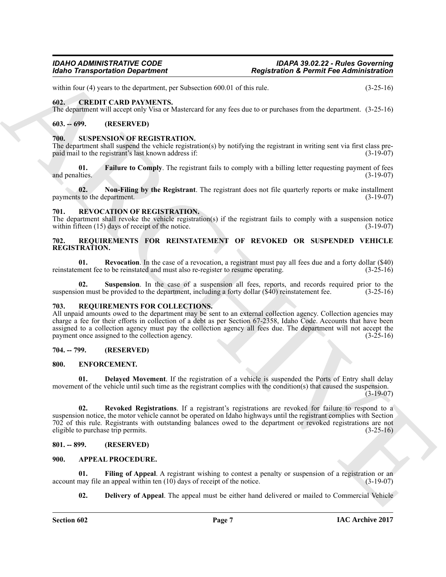within four (4) years to the department, per Subsection 600.01 of this rule. (3-25-16)

### <span id="page-6-13"></span><span id="page-6-0"></span>**602. CREDIT CARD PAYMENTS.**

The department will accept only Visa or Mastercard for any fees due to or purchases from the department. (3-25-16)

### <span id="page-6-1"></span>**603. -- 699. (RESERVED)**

#### <span id="page-6-22"></span><span id="page-6-2"></span>*SUSPENSION OF REGISTRATION.*

The department shall suspend the vehicle registration(s) by notifying the registrant in writing sent via first class prepaid mail to the registrant's last known address if: (3-19-07)

<span id="page-6-23"></span>**01. Failure to Comply**. The registrant fails to comply with a billing letter requesting payment of fees lities. (3-19-07) and penalties.

<span id="page-6-24"></span>**02.** Non-Filing by the Registrant. The registrant does not file quarterly reports or make installment s to the department. (3-19-07) payments to the department.

#### <span id="page-6-21"></span><span id="page-6-3"></span>**REVOCATION OF REGISTRATION.**

The department shall revoke the vehicle registration(s) if the registrant fails to comply with a suspension notice within fifteen  $(15)$  days of receipt of the notice. within fifteen  $(15)$  days of receipt of the notice.

#### <span id="page-6-18"></span><span id="page-6-4"></span>**702. REQUIREMENTS FOR REINSTATEMENT OF REVOKED OR SUSPENDED VEHICLE REGISTRATION.**

<span id="page-6-19"></span>**01.** Revocation. In the case of a revocation, a registrant must pay all fees due and a forty dollar (\$40) ment fee to be reinstated and must also re-register to resume operating. (3-25-16) reinstatement fee to be reinstated and must also re-register to resume operating.

<span id="page-6-20"></span>**02.** Suspension. In the case of a suspension all fees, reports, and records required prior to the on must be provided to the department, including a forty dollar (\$40) reinstatement fee. (3-25-16) suspension must be provided to the department, including a forty dollar  $(\$40)$  reinstatement fee.

#### <span id="page-6-17"></span><span id="page-6-5"></span>**703. REQUIREMENTS FOR COLLECTIONS.**

**Example Transportation Department**<br> **Example Transportation Department**<br>
CHE TRANSPORT AND PAYMENTS. Subsection 60.001 of the role.<br>
(ALL - CHE) THE TRANSPORTED HE ARCHIVES TRANSPORT (ARCHIVES)<br>
(ALL - CHE) THE CHE TRAN All unpaid amounts owed to the department may be sent to an external collection agency. Collection agencies may charge a fee for their efforts in collection of a debt as per Section 67-2358, Idaho Code. Accounts that have been assigned to a collection agency must pay the collection agency all fees due. The department will not accept the payment once assigned to the collection agency. (3-25-16) payment once assigned to the collection agency.

#### <span id="page-6-6"></span>**704. -- 799. (RESERVED)**

#### <span id="page-6-14"></span><span id="page-6-7"></span>**800. ENFORCEMENT.**

<span id="page-6-15"></span>**01. Delayed Movement**. If the registration of a vehicle is suspended the Ports of Entry shall delay movement of the vehicle until such time as the registrant complies with the condition(s) that caused the suspension. (3-19-07)

<span id="page-6-16"></span>**02. Revoked Registrations**. If a registrant's registrations are revoked for failure to respond to a suspension notice, the motor vehicle cannot be operated on Idaho highways until the registrant complies with Section 702 of this rule. Registrants with outstanding balances owed to the department or revoked registrations are not eligible to purchase trip permits. (3-25-16)

#### <span id="page-6-8"></span>**801. -- 899. (RESERVED)**

#### <span id="page-6-10"></span><span id="page-6-9"></span>**900. APPEAL PROCEDURE.**

**01.** Filing of Appeal. A registrant wishing to contest a penalty or suspension of a registration or an may file an appeal within ten (10) days of receipt of the notice. (3-19-07) account may file an appeal within ten  $(10)$  days of receipt of the notice.

<span id="page-6-12"></span><span id="page-6-11"></span>**02. Delivery of Appeal**. The appeal must be either hand delivered or mailed to Commercial Vehicle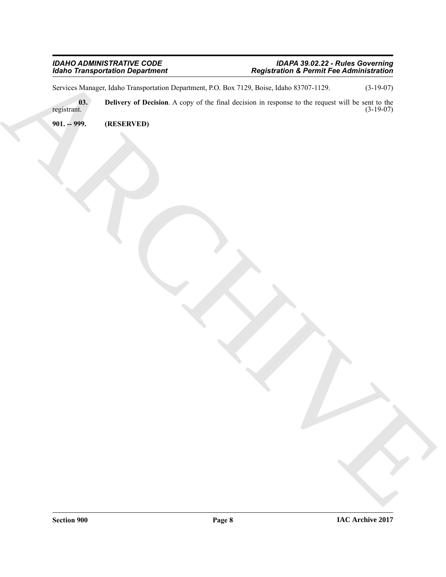#### *IDAHO ADMINISTRATIVE CODE IDAPA 39.02.22 - Rules Governing Idaho Transportation Department Registration & Permit Fee Administration*

<span id="page-7-1"></span>Services Manager, Idaho Transportation Department, P.O. Box 7129, Boise, Idaho 83707-1129. (3-19-07)

Editor Transportation Department<br>
System Added Lands and Decity of Decision Archives and Contact Section Archives and Contact Contact Contact C<br>
William Contact Archives and Contact Contact Contact Contact Contact Contact **03.** Delivery of Decision. A copy of the final decision in response to the request will be sent to the registrant. (3-19-07) registrant. (3-19-07)

<span id="page-7-0"></span>**901. -- 999. (RESERVED)**